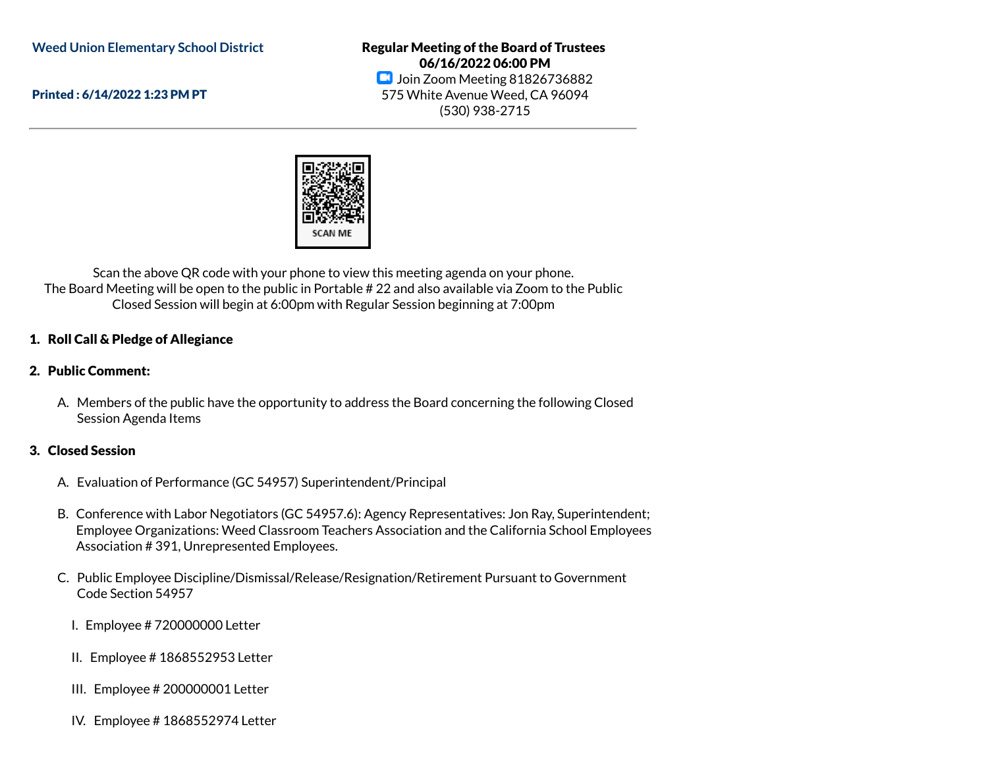**Weed Union Elementary School District**

Printed : 6/14/2022 1:23 PM PT

Regular Meeting of the Board of Trustees 06/16/2022 06:00 PM **D** Join Zoom Meeting 81826736882 575 White Avenue Weed, CA 96094 (530) 938-2715



Scan the above QR code with your phone to view this meeting agenda on your phone. The Board Meeting will be open to the public in Portable # 22 and also available via Zoom to the Public Closed Session will begin at 6:00pm with Regular Session beginning at 7:00pm

## 1. Roll Call & Pledge of Allegiance

### 2. Public Comment:

A. Members of the public have the opportunity to address the Board concerning the following Closed Session Agenda Items

### 3. Closed Session

- A. Evaluation of Performance (GC 54957) Superintendent/Principal
- B. Conference with Labor Negotiators (GC 54957.6): Agency Representatives: Jon Ray, Superintendent; Employee Organizations: Weed Classroom Teachers Association and the California School Employees Association # 391, Unrepresented Employees.
- C. Public Employee Discipline/Dismissal/Release/Resignation/Retirement Pursuant to Government Code Section 54957
	- I. Employee # 720000000 Letter
	- II. Employee # 1868552953 Letter
	- III. Employee # 200000001 Letter
	- IV. Employee # 1868552974 Letter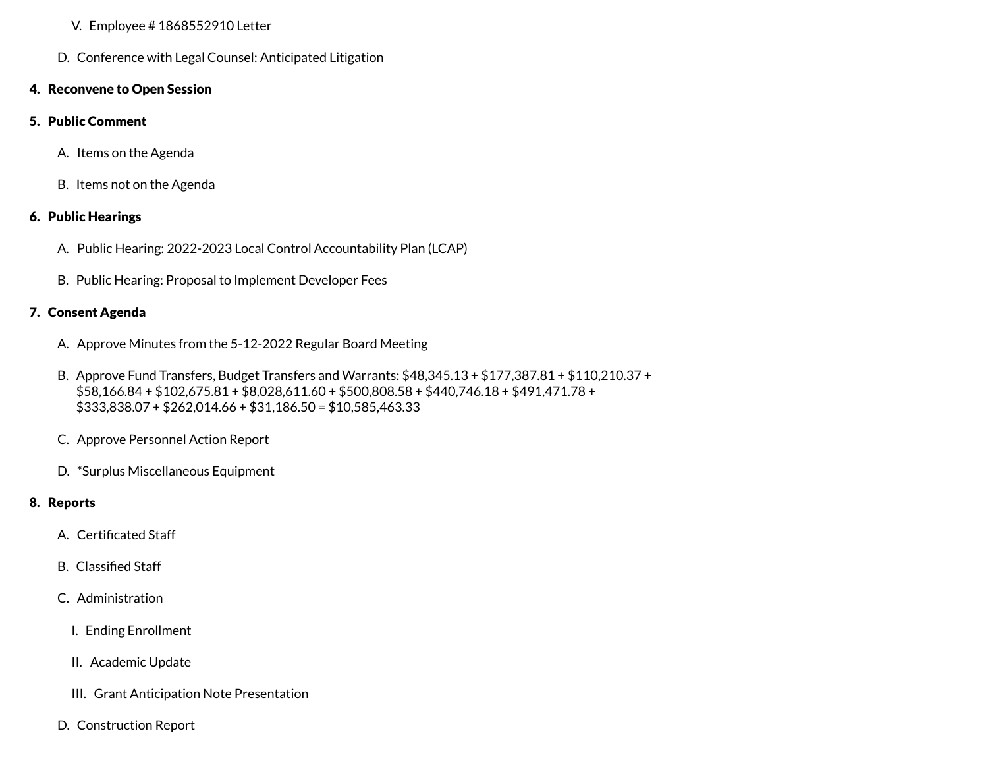### V. Employee # 1868552910 Letter

D. Conference with Legal Counsel: Anticipated Litigation

## 4. Reconvene to Open Session

## 5. Public Comment

- A. Items on the Agenda
- B. Items not on the Agenda

# 6. Public Hearings

- A. Public Hearing: 2022-2023 Local Control Accountability Plan (LCAP)
- B. Public Hearing: Proposal to Implement Developer Fees

# 7. Consent Agenda

- A. Approve Minutes from the 5-12-2022 Regular Board Meeting
- B. Approve Fund Transfers, Budget Transfers and Warrants: \$48,345.13 + \$177,387.81 + \$110,210.37 + \$58,166.84 + \$102,675.81 + \$8,028,611.60 + \$500,808.58 + \$440,746.18 + \$491,471.78 + \$333,838.07 + \$262,014.66 + \$31,186.50 = \$10,585,463.33
- C. Approve Personnel Action Report
- D. \*Surplus Miscellaneous Equipment

# 8. Reports

- A. Certificated Staff
- B. Classified Staff
- C. Administration
	- I. Ending Enrollment
	- II. Academic Update
	- III. Grant Anticipation Note Presentation
- D. Construction Report